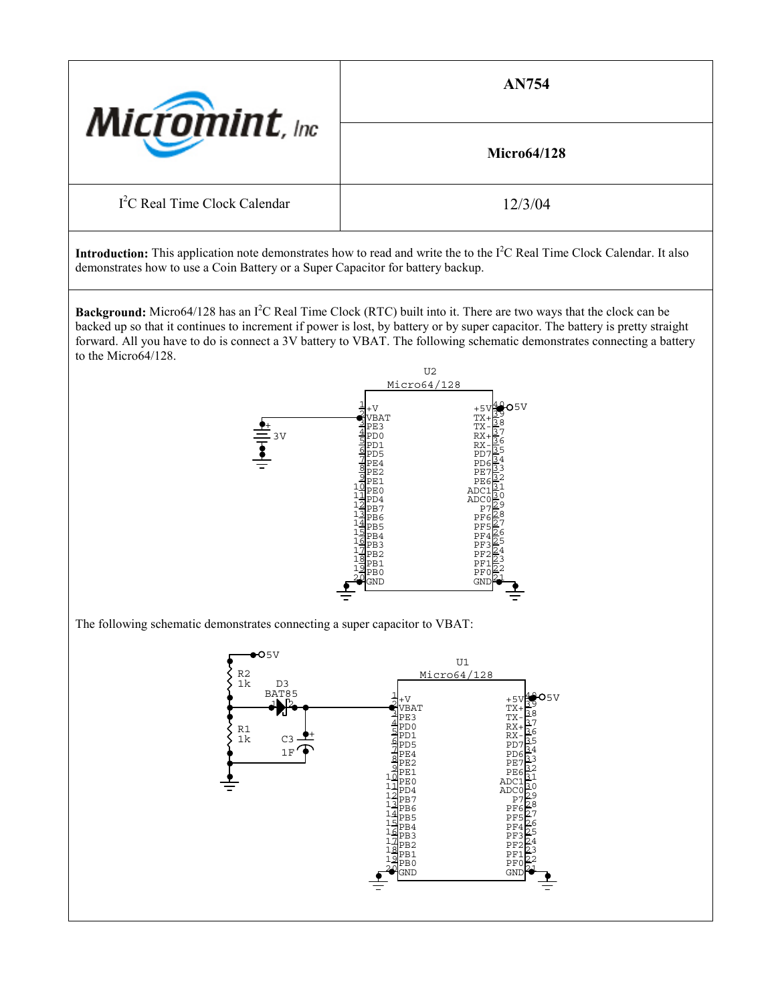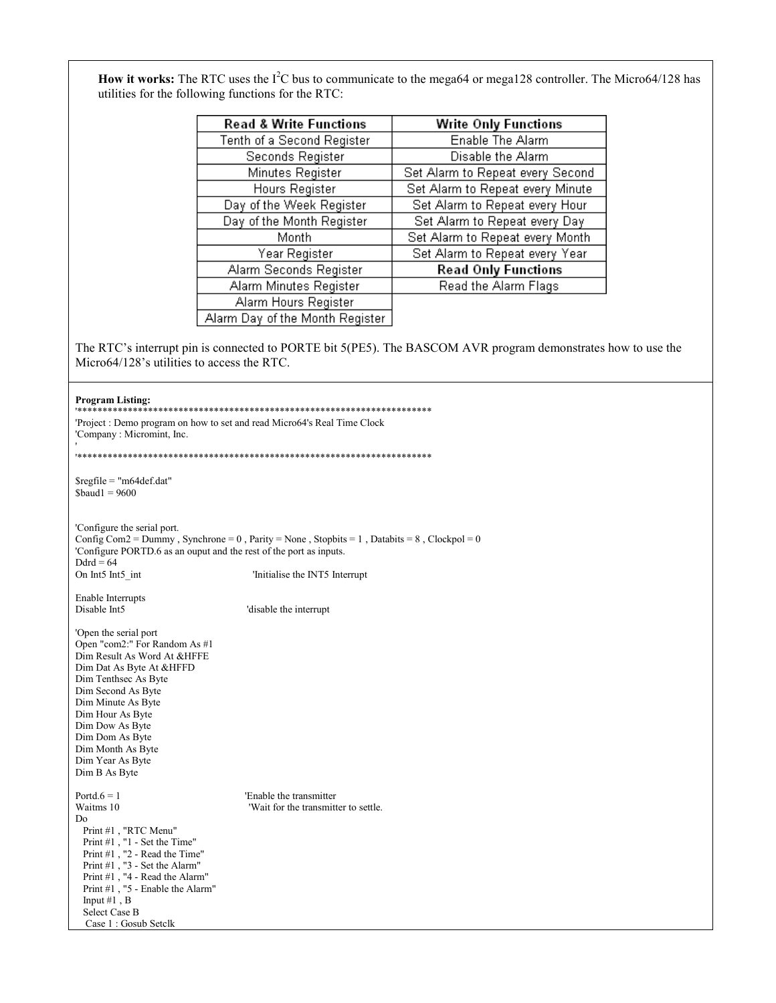How it works: The RTC uses the I<sup>2</sup>C bus to communicate to the mega64 or mega128 controller. The Micro64/128 has utilities for the following functions for the RTC:

| <b>Read &amp; Write Functions</b> | <b>Write Only Functions</b>      |  |  |
|-----------------------------------|----------------------------------|--|--|
| Tenth of a Second Register        | Enable The Alarm                 |  |  |
| Seconds Register                  | Disable the Alarm                |  |  |
| Minutes Register                  | Set Alarm to Repeat every Second |  |  |
| Hours Register                    | Set Alarm to Repeat every Minute |  |  |
| Day of the Week Register          | Set Alarm to Repeat every Hour   |  |  |
| Day of the Month Register         | Set Alarm to Repeat every Day    |  |  |
| Month                             | Set Alarm to Repeat every Month  |  |  |
| Year Register                     | Set Alarm to Repeat every Year   |  |  |
| Alarm Seconds Register            | <b>Read Only Functions</b>       |  |  |
| Alarm Minutes Register            | Read the Alarm Flags             |  |  |
| Alarm Hours Register              |                                  |  |  |
| Alarm Day of the Month Register   |                                  |  |  |

The RTC's interrupt pin is connected to PORTE bit 5(PE5). The BASCOM AVR program demonstrates how to use the Micro64/128's utilities to access the RTC.

## **Program Listing:**

| 1 годнаш шэшца.                                                                                                                                                                                                                                                                                           |                                                                                             |
|-----------------------------------------------------------------------------------------------------------------------------------------------------------------------------------------------------------------------------------------------------------------------------------------------------------|---------------------------------------------------------------------------------------------|
| 'Project : Demo program on how to set and read Micro64's Real Time Clock<br>'Company: Micromint, Inc.                                                                                                                                                                                                     |                                                                                             |
|                                                                                                                                                                                                                                                                                                           |                                                                                             |
| $\text{Sregfile} = \text{"m64def.dat"}$<br>$$baud1 = 9600$                                                                                                                                                                                                                                                |                                                                                             |
| 'Configure the serial port.<br>'Configure PORTD.6 as an ouput and the rest of the port as inputs.<br>$Ddrd = 64$                                                                                                                                                                                          | Config Com2 = Dummy, Synchrone = 0, Parity = None, Stopbits = 1, Databits = 8, Clockpol = 0 |
| On Int5 Int5 int                                                                                                                                                                                                                                                                                          | Initialise the INT5 Interrupt                                                               |
| Enable Interrupts<br>Disable Int <sub>5</sub>                                                                                                                                                                                                                                                             | 'disable the interrupt                                                                      |
| 'Open the serial port<br>Open "com2:" For Random As #1<br>Dim Result As Word At &HFFE<br>Dim Dat As Byte At &HFFD<br>Dim Tenthsec As Byte<br>Dim Second As Byte<br>Dim Minute As Byte<br>Dim Hour As Byte<br>Dim Dow As Byte<br>Dim Dom As Byte<br>Dim Month As Byte<br>Dim Year As Byte<br>Dim B As Byte |                                                                                             |
| Portd. $6 = 1$<br>Waitms 10<br>Do<br>Print #1, "RTC Menu"<br>Print #1, "1 - Set the Time"<br>Print $\#1$ , ''2 - Read the Time"<br>Print #1, "3 - Set the Alarm"<br>Print #1, "4 - Read the Alarm"<br>Print #1, "5 - Enable the Alarm"<br>Input $#1$ , B<br><b>Select Case B</b><br>Case 1: Gosub Setclk  | 'Enable the transmitter<br>'Wait for the transmitter to settle.                             |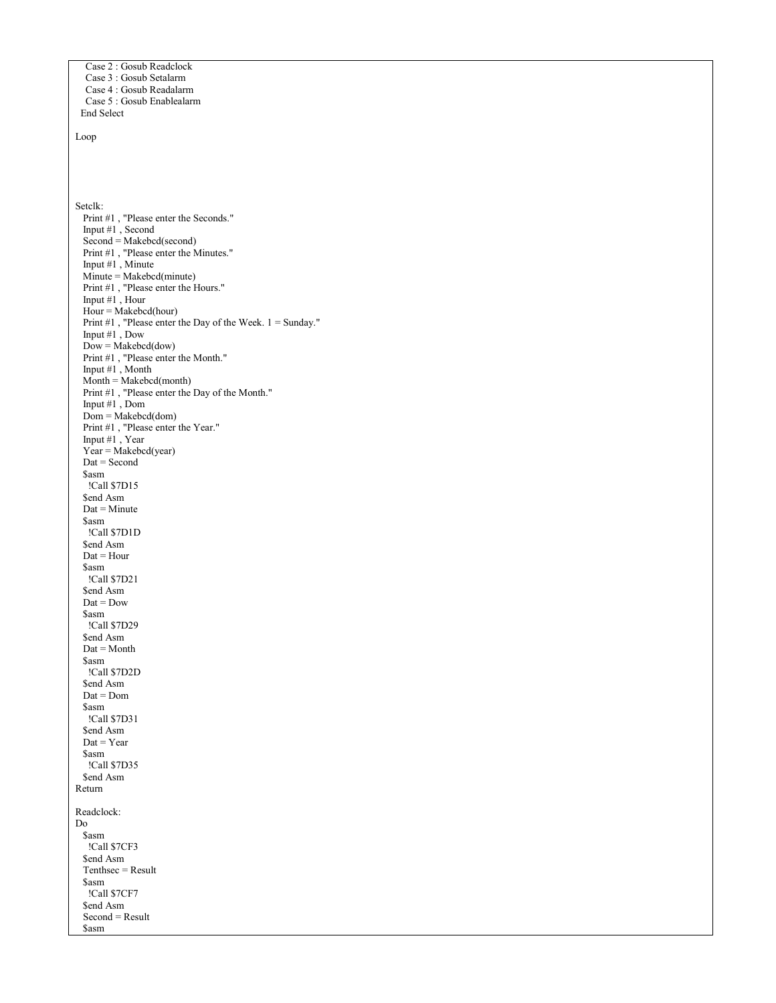```
 Case 2 : Gosub Readclock
   Case 3 : Gosub Setalarm
   Case 4 : Gosub Readalarm
   Case 5 : Gosub Enablealarm
  End Select
Loop
Setclk:
  Print #1 , "Please enter the Seconds."
   Input #1 , Second
  Second = Makebcd(second)Print #1, "Please enter the Minutes."
  Input #1, Minute
   Minute = Makebcd(minute)
 Print #1 , "Please enter the Hours."
 Input #1 , Hour
  Hour = Makebed(hour)Print #1, "Please enter the Day of the Week. 1 = Sunday."
   Input #1 , Dow
  Down = Makebcd(dow) Print #1 , "Please enter the Month."
   Input #1 , Month
  Month = Makebed(month) Print #1 , "Please enter the Day of the Month."
   Input #1 , Dom
  Dom = Makebed(dom) Print #1 , "Please enter the Year."
   Input #1 , Year
  Year = Makebcd(year) Dat = Second
   $asm
   !Call $7D15
  $end Asm
  \text{Data} = \text{Minute} $asm
   !Call $7D1D
   $end Asm
  \text{Dat} = \text{Hour} $asm
   !Call $7D21
   $end Asm
  \text{Dat} = \text{Dow} $asm
   !Call $7D29
  $end Asm
   Dat = Month
   $asm
    !Call $7D2D
   $end Asm
   Dat = Dom
   $asm
    !Call $7D31
   $end Asm
  \text{Dat} = \text{Year} $asm
    !Call $7D35
 $end Asm
Return
Readclock:
Do
   $asm
   !Call $7CF3
  $end Asm
   Tenthsec = Result
   $asm
   !Call $7CF7
  $end Asm
   Second = Result
   $asm
```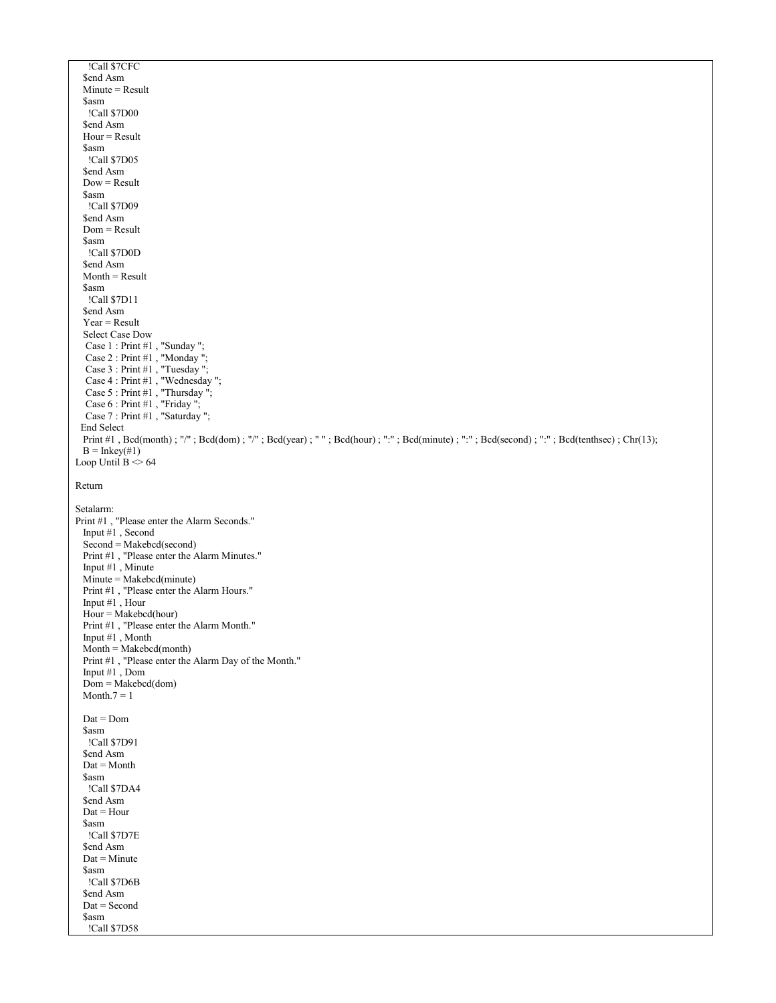```
 !Call $7CFC
  $end Asm
  Minute = Result
  $asm
   !Call $7D00
  $end Asm
 Hour = Result$asm
   !Call $7D05
 $end Asm
  Dow = Result
  $asm
   !Call $7D09
  $end Asm
  Dom = Result
  $asm
   !Call $7D0D
  $end Asm
 Month = Result $asm
   !Call $7D11
  $end Asm
 Year = Result Select Case Dow
  Case 1 : Print #1, "Sunday";
  Case 2 : Print #1, "Monday";
 Case 3 : Print #1 , "Tuesday ";
 Case 4 : Print #1 , "Wednesday ";
 Case 5 : Print #1 , "Thursday ";
  Case 6 : Print #1, "Friday";
   Case 7 : Print #1 , "Saturday ";
  End Select
 Print #1, Bcd(month); "/"; Bcd(dom); "/"; Bcd(year); " "; Bcd(hour); ":"; Bcd(minute); ":"; Bcd(second); ":"; Bcd(tenthsec); Chr(13);
 B = Inkey(#1)
Loop Until B \sim 64Return
Setalarm:
Print #1 , "Please enter the Alarm Seconds."
  Input #1 , Second
  Second = Makebcd(second)
  Print #1 , "Please enter the Alarm Minutes."
  Input #1 , Minute
 Minute = Makebcd(minute)
  Print #1 , "Please enter the Alarm Hours."
  Input #1 , Hour
  Hour = Makebcd(hour)
  Print #1 , "Please enter the Alarm Month."
  Input #1 , Month
 Month = Makebed(month) Print #1 , "Please enter the Alarm Day of the Month."
  Input #1 , Dom
  Dom = Makebcd(dom)
 Month.7 = 1 Dat = Dom
  $asm
   !Call $7D91
  $end Asm
  Dat = Month
  $asm
   !Call $7DA4
 $end Asm
 Data = Hour
  $asm
   !Call $7D7E
  $end Asm
 Data =Minute
  $asm
   !Call $7D6B
 $end Asm
  Dat = Second
  $asm
    !Call $7D58
```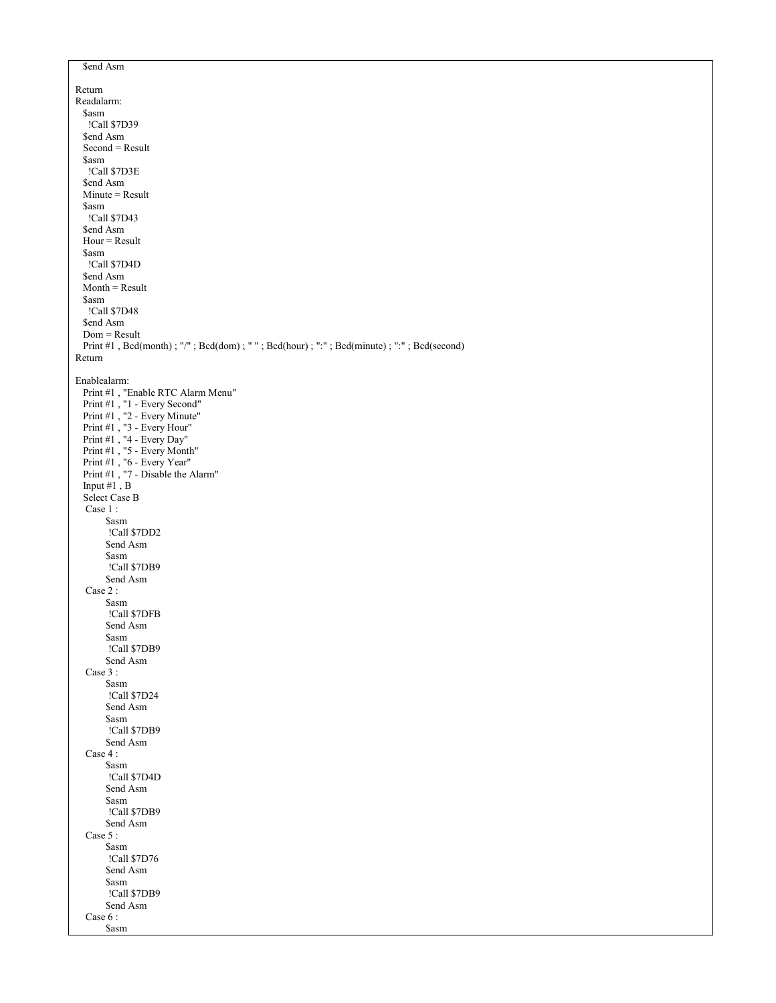```
$end Asm
Return
Readalarm:
  $asm
   !Call $7D39
 $end Asm
  Second = Result
  $asm
   !Call $7D3E
  $end Asm
  Minute = Result
  $asm
   !Call $7D43
  $end Asm
  Hour = Result
  $asm
   !Call $7D4D
 $end Asm
  Month = Result
  $asm
   !Call $7D48
  $end Asm
  Dom = Result
 Print #1, Bcd(month); "/"; Bcd(dom); ""; Bcd(hour); ":"; Bcd(minute); ":"; Bcd(second)
Return
Enablealarm:
  Print #1 , "Enable RTC Alarm Menu"
 Print #1, "1 - Every Second"
 Print #1 , "2 - Every Minute"
 Print #1 , "3 - Every Hour"
 Print #1 , "4 - Every Day"
 Print #1 , "5 - Every Month"
 Print #1 , "6 - Every Year"
 Print #1 , "7 - Disable the Alarm"
 Input #1 , B
  Select Case B
  Case 1 :
        $asm
        !Call $7DD2
       $end Asm
        $asm
        !Call $7DB9
       $end Asm
   Case 2 :
       $asm
        !Call $7DFB
       $end Asm
        $asm
        !Call $7DB9
       $end Asm
   Case 3 :
       $asm
        !Call $7D24
       $end Asm
        $asm
        !Call $7DB9
        $end Asm
  Case 4 :
        $asm
        !Call $7D4D
        $end Asm
      $asm
        !Call $7DB9
       $end Asm
   Case 5 :
       $asm
        !Call $7D76
        $end Asm
        $asm
        !Call $7DB9
        $end Asm
   Case 6 :
        $asm
```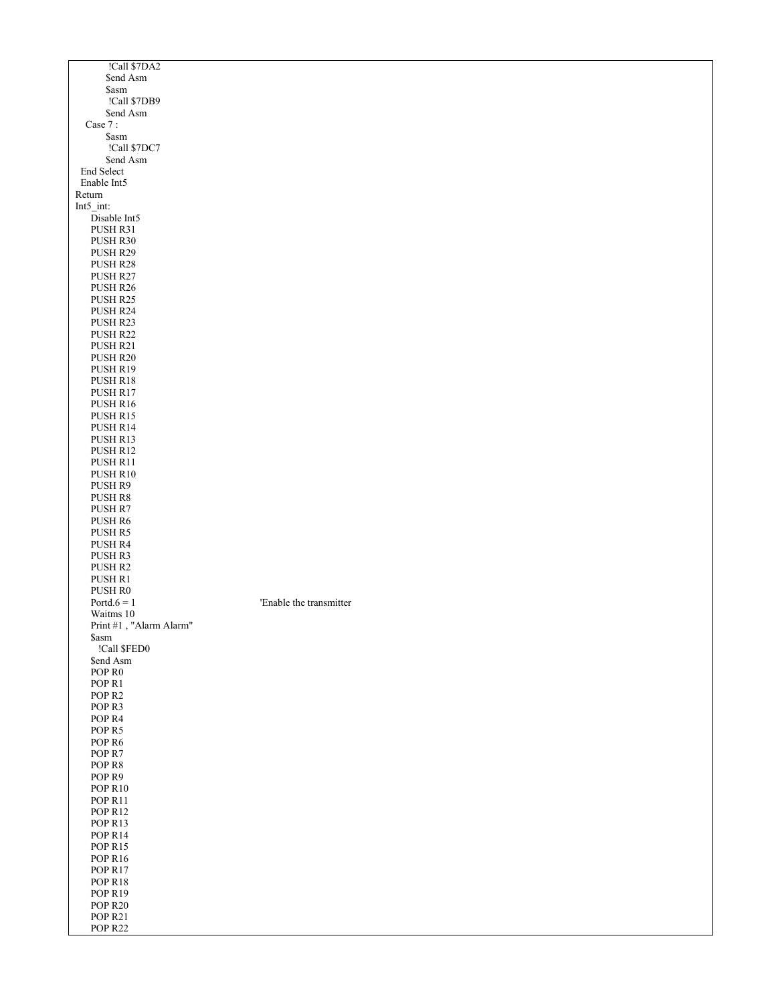| !Call \$7DA2                           |                         |
|----------------------------------------|-------------------------|
| \$end Asm                              |                         |
| \$asm                                  |                         |
| !Call \$7DB9                           |                         |
| \$end Asm                              |                         |
| Case $7:$                              |                         |
| \$asm                                  |                         |
| !Call \$7DC7                           |                         |
| \$end Asm                              |                         |
| <b>End Select</b>                      |                         |
| Enable Int5                            |                         |
| Return                                 |                         |
| Int5 int:                              |                         |
| Disable Int <sub>5</sub>               |                         |
| PUSH R31                               |                         |
| PUSH R30                               |                         |
| PUSH R29                               |                         |
| PUSH R28                               |                         |
| PUSH R27                               |                         |
| PUSH R26                               |                         |
| PUSH R25                               |                         |
| PUSH R24                               |                         |
| PUSH R23                               |                         |
| PUSH R22                               |                         |
| PUSH R21                               |                         |
| PUSH R20                               |                         |
| PUSH R19                               |                         |
| PUSH R18<br>PUSH R17                   |                         |
|                                        |                         |
| PUSH R16                               |                         |
| PUSH R15                               |                         |
| PUSH R14<br>PUSH R13                   |                         |
| PUSH R12                               |                         |
| PUSH R11                               |                         |
| PUSH R10                               |                         |
| PUSH R9                                |                         |
| PUSH R8                                |                         |
| PUSH R7                                |                         |
| PUSH R6                                |                         |
| PUSH R5                                |                         |
| PUSH R4                                |                         |
| PUSH R3                                |                         |
| PUSH R2                                |                         |
| PUSH R1                                |                         |
| PUSH R0                                |                         |
| Portd. $6 = 1$                         | 'Enable the transmitter |
| Waitms 10                              |                         |
| Print #1, "Alarm Alarm"                |                         |
| \$asm                                  |                         |
| !Call \$FED0                           |                         |
| \$end Asm                              |                         |
| POP <sub>R0</sub>                      |                         |
| POP R1                                 |                         |
| POP <sub>R2</sub>                      |                         |
| POP <sub>R3</sub>                      |                         |
| POP <sub>R4</sub>                      |                         |
| POP <sub>R5</sub>                      |                         |
| POP <sub>R6</sub><br>POP <sub>R7</sub> |                         |
| POP R8                                 |                         |
| POP <sub>R9</sub>                      |                         |
| POP <sub>R10</sub>                     |                         |
| POP <sub>R11</sub>                     |                         |
| POP <sub>R12</sub>                     |                         |
| POP <sub>R13</sub>                     |                         |
| POP R <sub>14</sub>                    |                         |
| POP <sub>R15</sub>                     |                         |
| POP <sub>R16</sub>                     |                         |
| POP <sub>R17</sub>                     |                         |
| POP <sub>R18</sub>                     |                         |
| POP <sub>R19</sub>                     |                         |
| <b>POP R20</b>                         |                         |
| POP <sub>R21</sub>                     |                         |
| POP R22                                |                         |